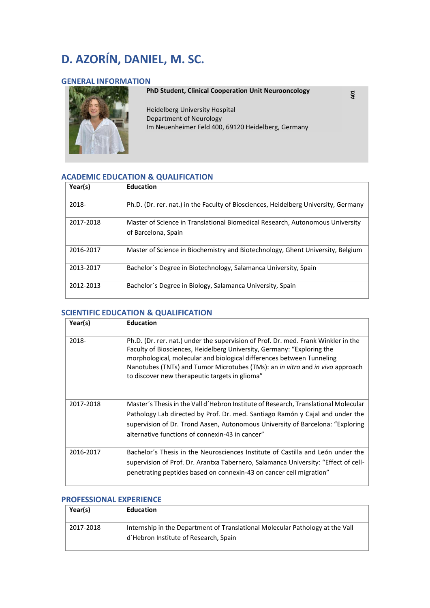# **D. AZORÍN, DANIEL, M. SC.**

# **GENERAL INFORMATION**



**PhD Student, Clinical Cooperation Unit Neurooncology** 

**A01** 

Heidelberg University Hospital Department of Neurology Im Neuenheimer Feld 400, 69120 Heidelberg, Germany

# **ACADEMIC EDUCATION & QUALIFICATION**

| Year(s)   | <b>Education</b>                                                                                     |
|-----------|------------------------------------------------------------------------------------------------------|
| 2018-     | Ph.D. (Dr. rer. nat.) in the Faculty of Biosciences, Heidelberg University, Germany                  |
| 2017-2018 | Master of Science in Translational Biomedical Research, Autonomous University<br>of Barcelona, Spain |
| 2016-2017 | Master of Science in Biochemistry and Biotechnology, Ghent University, Belgium                       |
| 2013-2017 | Bachelor's Degree in Biotechnology, Salamanca University, Spain                                      |
| 2012-2013 | Bachelor's Degree in Biology, Salamanca University, Spain                                            |

### **SCIENTIFIC EDUCATION & QUALIFICATION**

| Year(s)   | <b>Education</b>                                                                                                                                                                                                                                                                                                                                                                       |
|-----------|----------------------------------------------------------------------------------------------------------------------------------------------------------------------------------------------------------------------------------------------------------------------------------------------------------------------------------------------------------------------------------------|
| 2018-     | Ph.D. (Dr. rer. nat.) under the supervision of Prof. Dr. med. Frank Winkler in the<br>Faculty of Biosciences, Heidelberg University, Germany: "Exploring the<br>morphological, molecular and biological differences between Tunneling<br>Nanotubes (TNTs) and Tumor Microtubes (TMs): an <i>in vitro</i> and <i>in vivo</i> approach<br>to discover new therapeutic targets in glioma" |
| 2017-2018 | Master's Thesis in the Vall d'Hebron Institute of Research, Translational Molecular<br>Pathology Lab directed by Prof. Dr. med. Santiago Ramón y Cajal and under the<br>supervision of Dr. Trond Aasen, Autonomous University of Barcelona: "Exploring<br>alternative functions of connexin-43 in cancer"                                                                              |
| 2016-2017 | Bachelor's Thesis in the Neurosciences Institute of Castilla and León under the<br>supervision of Prof. Dr. Arantxa Tabernero, Salamanca University: "Effect of cell-<br>penetrating peptides based on connexin-43 on cancer cell migration"                                                                                                                                           |

#### **PROFESSIONAL EXPERIENCE**

| Year(s)   | <b>Education</b>                                                                                                       |
|-----------|------------------------------------------------------------------------------------------------------------------------|
| 2017-2018 | Internship in the Department of Translational Molecular Pathology at the Vall<br>d'Hebron Institute of Research, Spain |